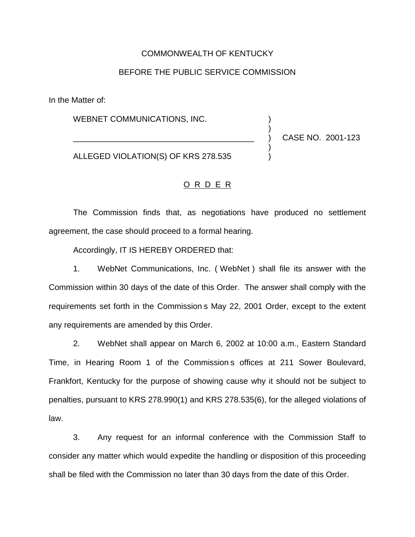## COMMONWEALTH OF KENTUCKY

## BEFORE THE PUBLIC SERVICE COMMISSION

In the Matter of:

WEBNET COMMUNICATIONS, INC.

ALLEGED VIOLATION(S) OF KRS 278.535 )

\_\_\_\_\_\_\_\_\_\_\_\_\_\_\_\_\_\_\_\_\_\_\_\_\_\_\_\_\_\_\_\_\_\_\_\_\_\_\_\_ ) CASE NO. 2001-123

)

)

O R D E R

The Commission finds that, as negotiations have produced no settlement agreement, the case should proceed to a formal hearing.

Accordingly, IT IS HEREBY ORDERED that:

1. WebNet Communications, Inc. ( WebNet ) shall file its answer with the Commission within 30 days of the date of this Order. The answer shall comply with the requirements set forth in the Commission s May 22, 2001 Order, except to the extent any requirements are amended by this Order.

2. WebNet shall appear on March 6, 2002 at 10:00 a.m., Eastern Standard Time, in Hearing Room 1 of the Commission s offices at 211 Sower Boulevard, Frankfort, Kentucky for the purpose of showing cause why it should not be subject to penalties, pursuant to KRS 278.990(1) and KRS 278.535(6), for the alleged violations of law.

3. Any request for an informal conference with the Commission Staff to consider any matter which would expedite the handling or disposition of this proceeding shall be filed with the Commission no later than 30 days from the date of this Order.